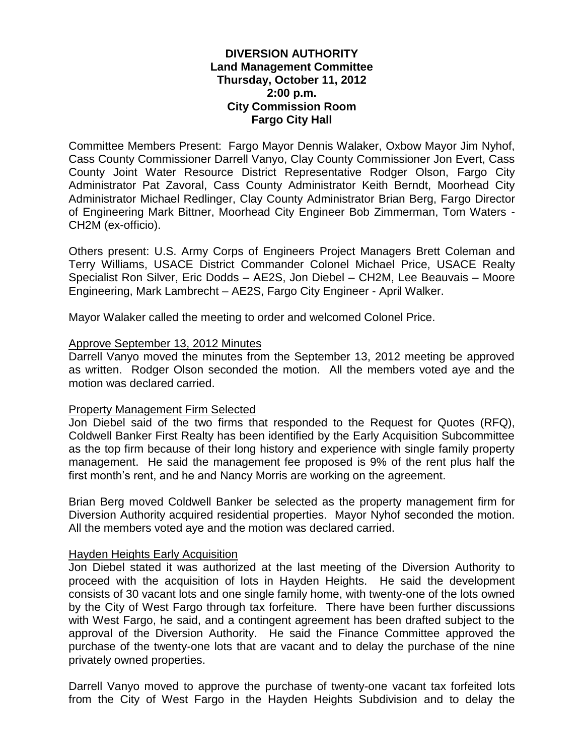## **DIVERSION AUTHORITY Land Management Committee Thursday, October 11, 2012 2:00 p.m. City Commission Room Fargo City Hall**

Committee Members Present: Fargo Mayor Dennis Walaker, Oxbow Mayor Jim Nyhof, Cass County Commissioner Darrell Vanyo, Clay County Commissioner Jon Evert, Cass County Joint Water Resource District Representative Rodger Olson, Fargo City Administrator Pat Zavoral, Cass County Administrator Keith Berndt, Moorhead City Administrator Michael Redlinger, Clay County Administrator Brian Berg, Fargo Director of Engineering Mark Bittner, Moorhead City Engineer Bob Zimmerman, Tom Waters - CH2M (ex-officio).

Others present: U.S. Army Corps of Engineers Project Managers Brett Coleman and Terry Williams, USACE District Commander Colonel Michael Price, USACE Realty Specialist Ron Silver, Eric Dodds – AE2S, Jon Diebel – CH2M, Lee Beauvais – Moore Engineering, Mark Lambrecht – AE2S, Fargo City Engineer - April Walker.

Mayor Walaker called the meeting to order and welcomed Colonel Price.

#### Approve September 13, 2012 Minutes

Darrell Vanyo moved the minutes from the September 13, 2012 meeting be approved as written. Rodger Olson seconded the motion. All the members voted aye and the motion was declared carried.

#### Property Management Firm Selected

Jon Diebel said of the two firms that responded to the Request for Quotes (RFQ), Coldwell Banker First Realty has been identified by the Early Acquisition Subcommittee as the top firm because of their long history and experience with single family property management. He said the management fee proposed is 9% of the rent plus half the first month's rent, and he and Nancy Morris are working on the agreement.

Brian Berg moved Coldwell Banker be selected as the property management firm for Diversion Authority acquired residential properties. Mayor Nyhof seconded the motion. All the members voted aye and the motion was declared carried.

#### Hayden Heights Early Acquisition

Jon Diebel stated it was authorized at the last meeting of the Diversion Authority to proceed with the acquisition of lots in Hayden Heights. He said the development consists of 30 vacant lots and one single family home, with twenty-one of the lots owned by the City of West Fargo through tax forfeiture. There have been further discussions with West Fargo, he said, and a contingent agreement has been drafted subject to the approval of the Diversion Authority. He said the Finance Committee approved the purchase of the twenty-one lots that are vacant and to delay the purchase of the nine privately owned properties.

Darrell Vanyo moved to approve the purchase of twenty-one vacant tax forfeited lots from the City of West Fargo in the Hayden Heights Subdivision and to delay the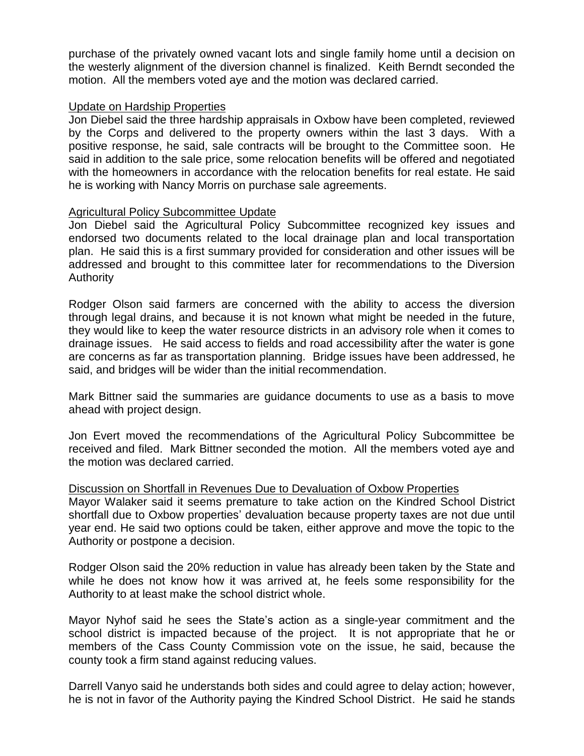purchase of the privately owned vacant lots and single family home until a decision on the westerly alignment of the diversion channel is finalized. Keith Berndt seconded the motion. All the members voted aye and the motion was declared carried.

## Update on Hardship Properties

Jon Diebel said the three hardship appraisals in Oxbow have been completed, reviewed by the Corps and delivered to the property owners within the last 3 days. With a positive response, he said, sale contracts will be brought to the Committee soon. He said in addition to the sale price, some relocation benefits will be offered and negotiated with the homeowners in accordance with the relocation benefits for real estate. He said he is working with Nancy Morris on purchase sale agreements.

## Agricultural Policy Subcommittee Update

Jon Diebel said the Agricultural Policy Subcommittee recognized key issues and endorsed two documents related to the local drainage plan and local transportation plan. He said this is a first summary provided for consideration and other issues will be addressed and brought to this committee later for recommendations to the Diversion Authority

Rodger Olson said farmers are concerned with the ability to access the diversion through legal drains, and because it is not known what might be needed in the future, they would like to keep the water resource districts in an advisory role when it comes to drainage issues. He said access to fields and road accessibility after the water is gone are concerns as far as transportation planning. Bridge issues have been addressed, he said, and bridges will be wider than the initial recommendation.

Mark Bittner said the summaries are guidance documents to use as a basis to move ahead with project design.

Jon Evert moved the recommendations of the Agricultural Policy Subcommittee be received and filed. Mark Bittner seconded the motion. All the members voted aye and the motion was declared carried.

#### Discussion on Shortfall in Revenues Due to Devaluation of Oxbow Properties

Mayor Walaker said it seems premature to take action on the Kindred School District shortfall due to Oxbow properties' devaluation because property taxes are not due until year end. He said two options could be taken, either approve and move the topic to the Authority or postpone a decision.

Rodger Olson said the 20% reduction in value has already been taken by the State and while he does not know how it was arrived at, he feels some responsibility for the Authority to at least make the school district whole.

Mayor Nyhof said he sees the State's action as a single-year commitment and the school district is impacted because of the project. It is not appropriate that he or members of the Cass County Commission vote on the issue, he said, because the county took a firm stand against reducing values.

Darrell Vanyo said he understands both sides and could agree to delay action; however, he is not in favor of the Authority paying the Kindred School District. He said he stands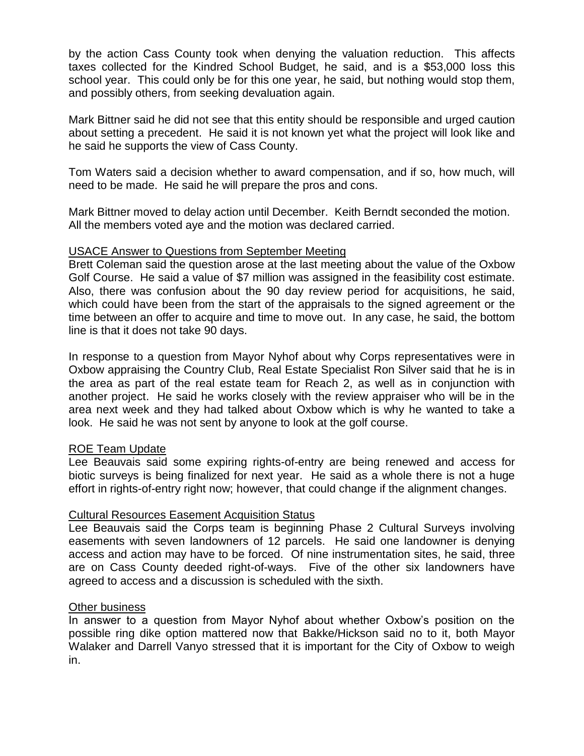by the action Cass County took when denying the valuation reduction. This affects taxes collected for the Kindred School Budget, he said, and is a \$53,000 loss this school year. This could only be for this one year, he said, but nothing would stop them, and possibly others, from seeking devaluation again.

Mark Bittner said he did not see that this entity should be responsible and urged caution about setting a precedent. He said it is not known yet what the project will look like and he said he supports the view of Cass County.

Tom Waters said a decision whether to award compensation, and if so, how much, will need to be made. He said he will prepare the pros and cons.

Mark Bittner moved to delay action until December. Keith Berndt seconded the motion. All the members voted aye and the motion was declared carried.

## USACE Answer to Questions from September Meeting

Brett Coleman said the question arose at the last meeting about the value of the Oxbow Golf Course. He said a value of \$7 million was assigned in the feasibility cost estimate. Also, there was confusion about the 90 day review period for acquisitions, he said, which could have been from the start of the appraisals to the signed agreement or the time between an offer to acquire and time to move out. In any case, he said, the bottom line is that it does not take 90 days.

In response to a question from Mayor Nyhof about why Corps representatives were in Oxbow appraising the Country Club, Real Estate Specialist Ron Silver said that he is in the area as part of the real estate team for Reach 2, as well as in conjunction with another project. He said he works closely with the review appraiser who will be in the area next week and they had talked about Oxbow which is why he wanted to take a look. He said he was not sent by anyone to look at the golf course.

# ROE Team Update

Lee Beauvais said some expiring rights-of-entry are being renewed and access for biotic surveys is being finalized for next year. He said as a whole there is not a huge effort in rights-of-entry right now; however, that could change if the alignment changes.

# Cultural Resources Easement Acquisition Status

Lee Beauvais said the Corps team is beginning Phase 2 Cultural Surveys involving easements with seven landowners of 12 parcels. He said one landowner is denying access and action may have to be forced. Of nine instrumentation sites, he said, three are on Cass County deeded right-of-ways. Five of the other six landowners have agreed to access and a discussion is scheduled with the sixth.

#### Other business

In answer to a question from Mayor Nyhof about whether Oxbow's position on the possible ring dike option mattered now that Bakke/Hickson said no to it, both Mayor Walaker and Darrell Vanyo stressed that it is important for the City of Oxbow to weigh in.